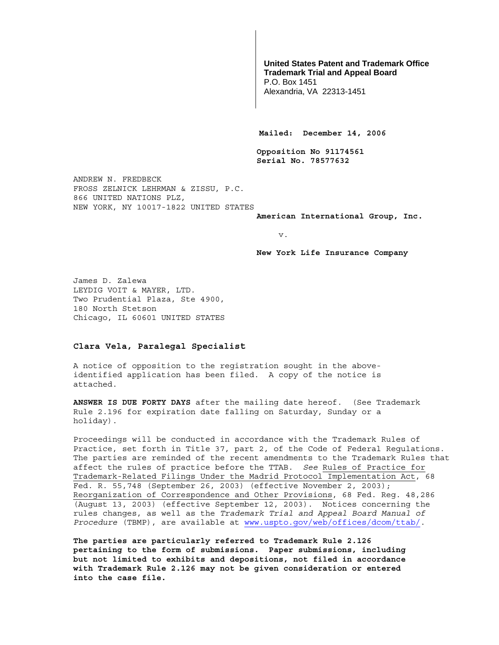## **United States Patent and Trademark Office Trademark Trial and Appeal Board**

P.O. Box 1451 Alexandria, VA 22313-1451

**Mailed: December 14, 2006** 

**Opposition No 91174561 Serial No. 78577632** 

ANDREW N. FREDBECK FROSS ZELNICK LEHRMAN & ZISSU, P.C. 866 UNITED NATIONS PLZ, NEW YORK, NY 10017-1822 UNITED STATES

**American International Group, Inc.** 

v.

**New York Life Insurance Company** 

James D. Zalewa LEYDIG VOIT & MAYER, LTD. Two Prudential Plaza, Ste 4900, 180 North Stetson Chicago, IL 60601 UNITED STATES

## **Clara Vela, Paralegal Specialist**

A notice of opposition to the registration sought in the aboveidentified application has been filed. A copy of the notice is attached.

**ANSWER IS DUE FORTY DAYS** after the mailing date hereof. (See Trademark Rule 2.196 for expiration date falling on Saturday, Sunday or a holiday).

Proceedings will be conducted in accordance with the Trademark Rules of Practice, set forth in Title 37, part 2, of the Code of Federal Regulations. The parties are reminded of the recent amendments to the Trademark Rules that affect the rules of practice before the TTAB. *See* Rules of Practice for Trademark-Related Filings Under the Madrid Protocol Implementation Act, 68 Fed. R. 55,748 (September 26, 2003) (effective November 2, 2003); Reorganization of Correspondence and Other Provisions, 68 Fed. Reg. 48,286 (August 13, 2003) (effective September 12, 2003). Notices concerning the rules changes, as well as the *Trademark Trial and Appeal Board Manual of Procedure* (TBMP), are available at www.uspto.gov/web/offices/dcom/ttab/.

**The parties are particularly referred to Trademark Rule 2.126 pertaining to the form of submissions. Paper submissions, including but not limited to exhibits and depositions, not filed in accordance with Trademark Rule 2.126 may not be given consideration or entered into the case file.**